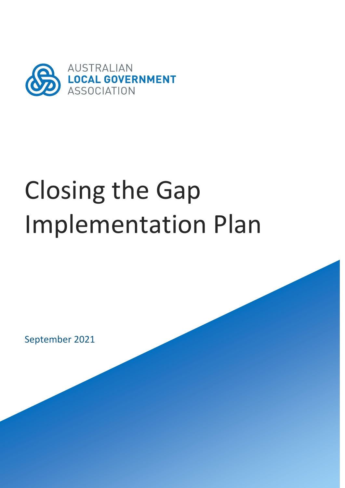

# Closing the Gap Implementation Plan

September 2021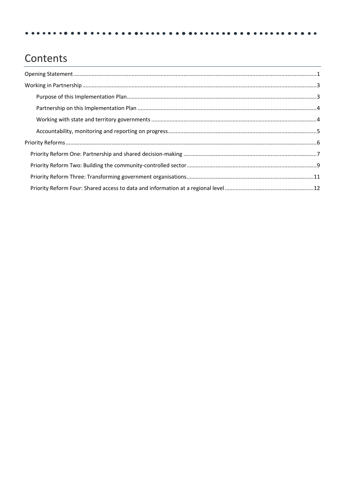# Contents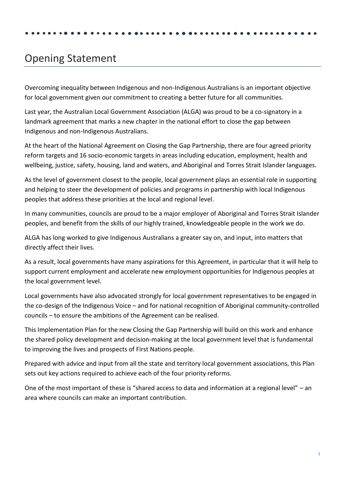# <span id="page-2-0"></span>Opening Statement

Overcoming inequality between Indigenous and non-Indigenous Australians is an important objective for local government given our commitment to creating a better future for all communities.

Last year, the Australian Local Government Association (ALGA) was proud to be a co-signatory in a landmark agreement that marks a new chapter in the national effort to close the gap between Indigenous and non-Indigenous Australians.

At the heart of the National Agreement on Closing the Gap Partnership, there are four agreed priority reform targets and 16 socio-economic targets in areas including education, employment, health and wellbeing, justice, safety, housing, land and waters, and Aboriginal and Torres Strait Islander languages.

As the level of government closest to the people, local government plays an essential role in supporting and helping to steer the development of policies and programs in partnership with local Indigenous peoples that address these priorities at the local and regional level.

In many communities, councils are proud to be a major employer of Aboriginal and Torres Strait Islander peoples, and benefit from the skills of our highly trained, knowledgeable people in the work we do.

ALGA has long worked to give Indigenous Australians a greater say on, and input, into matters that directly affect their lives.

As a result, local governments have many aspirations for this Agreement, in particular that it will help to support current employment and accelerate new employment opportunities for Indigenous peoples at the local government level.

Local governments have also advocated strongly for local government representatives to be engaged in the co-design of the Indigenous Voice – and for national recognition of Aboriginal community-controlled councils – to ensure the ambitions of the Agreement can be realised.

This Implementation Plan for the new Closing the Gap Partnership will build on this work and enhance the shared policy development and decision-making at the local government level that is fundamental to improving the lives and prospects of First Nations people.

Prepared with advice and input from all the state and territory local government associations, this Plan sets out key actions required to achieve each of the four priority reforms.

One of the most important of these is "shared access to data and information at a regional level" – an area where councils can make an important contribution.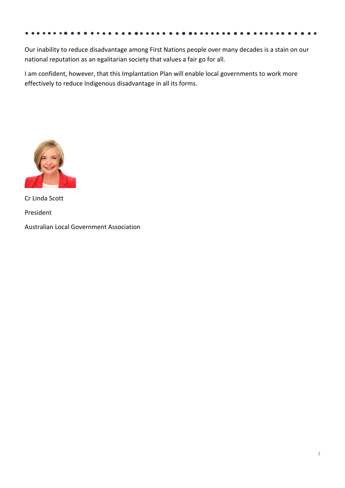Our inability to reduce disadvantage among First Nations people over many decades is a stain on our national reputation as an egalitarian society that values a fair go for all.

I am confident, however, that this Implantation Plan will enable local governments to work more effectively to reduce Indigenous disadvantage in all its forms.



Cr Linda Scott President

Australian Local Government Association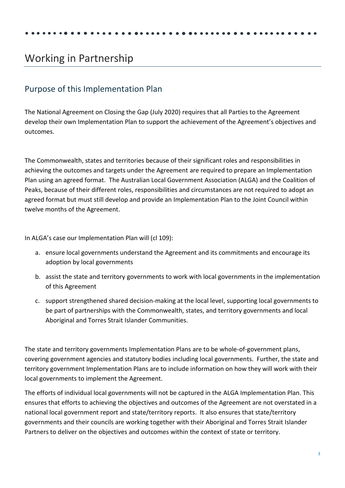# <span id="page-4-0"></span>Working in Partnership

### <span id="page-4-1"></span>Purpose of this Implementation Plan

The National Agreement on Closing the Gap (July 2020) requires that all Parties to the Agreement develop their own Implementation Plan to support the achievement of the Agreement's objectives and outcomes.

The Commonwealth, states and territories because of their significant roles and responsibilities in achieving the outcomes and targets under the Agreement are required to prepare an Implementation Plan using an agreed format. The Australian Local Government Association (ALGA) and the Coalition of Peaks, because of their different roles, responsibilities and circumstances are not required to adopt an agreed format but must still develop and provide an Implementation Plan to the Joint Council within twelve months of the Agreement.

In ALGA's case our Implementation Plan will (cl 109):

- a. ensure local governments understand the Agreement and its commitments and encourage its adoption by local governments
- b. assist the state and territory governments to work with local governments in the implementation of this Agreement
- c. support strengthened shared decision-making at the local level, supporting local governments to be part of partnerships with the Commonwealth, states, and territory governments and local Aboriginal and Torres Strait Islander Communities.

The state and territory governments Implementation Plans are to be whole-of-government plans, covering government agencies and statutory bodies including local governments. Further, the state and territory government Implementation Plans are to include information on how they will work with their local governments to implement the Agreement.

The efforts of individual local governments will not be captured in the ALGA Implementation Plan. This ensures that efforts to achieving the objectives and outcomes of the Agreement are not overstated in a national local government report and state/territory reports. It also ensures that state/territory governments and their councils are working together with their Aboriginal and Torres Strait Islander Partners to deliver on the objectives and outcomes within the context of state or territory.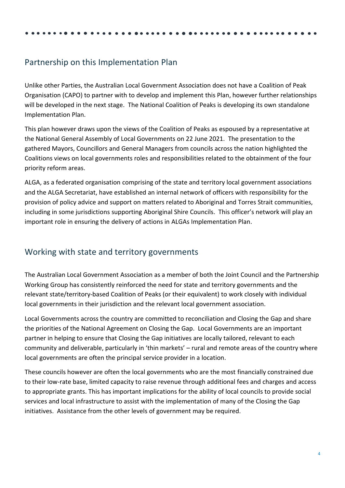### <span id="page-5-0"></span>Partnership on this Implementation Plan

Unlike other Parties, the Australian Local Government Association does not have a Coalition of Peak Organisation (CAPO) to partner with to develop and implement this Plan, however further relationships will be developed in the next stage. The National Coalition of Peaks is developing its own standalone Implementation Plan.

This plan however draws upon the views of the Coalition of Peaks as espoused by a representative at the National General Assembly of Local Governments on 22 June 2021. The presentation to the gathered Mayors, Councillors and General Managers from councils across the nation highlighted the Coalitions views on local governments roles and responsibilities related to the obtainment of the four priority reform areas.

ALGA, as a federated organisation comprising of the state and territory local government associations and the ALGA Secretariat, have established an internal network of officers with responsibility for the provision of policy advice and support on matters related to Aboriginal and Torres Strait communities, including in some jurisdictions supporting Aboriginal Shire Councils. This officer's network will play an important role in ensuring the delivery of actions in ALGAs Implementation Plan.

### <span id="page-5-1"></span>Working with state and territory governments

The Australian Local Government Association as a member of both the Joint Council and the Partnership Working Group has consistently reinforced the need for state and territory governments and the relevant state/territory-based Coalition of Peaks (or their equivalent) to work closely with individual local governments in their jurisdiction and the relevant local government association.

Local Governments across the country are committed to reconciliation and Closing the Gap and share the priorities of the National Agreement on Closing the Gap. Local Governments are an important partner in helping to ensure that Closing the Gap initiatives are locally tailored, relevant to each community and deliverable, particularly in 'thin markets' – rural and remote areas of the country where local governments are often the principal service provider in a location.

These councils however are often the local governments who are the most financially constrained due to their low-rate base, limited capacity to raise revenue through additional fees and charges and access to appropriate grants. This has important implications for the ability of local councils to provide social services and local infrastructure to assist with the implementation of many of the Closing the Gap initiatives. Assistance from the other levels of government may be required.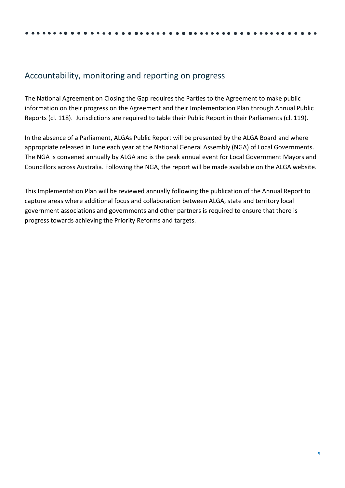### <span id="page-6-0"></span>Accountability, monitoring and reporting on progress

The National Agreement on Closing the Gap requires the Parties to the Agreement to make public information on their progress on the Agreement and their Implementation Plan through Annual Public Reports (cl. 118). Jurisdictions are required to table their Public Report in their Parliaments (cl. 119).

In the absence of a Parliament, ALGAs Public Report will be presented by the ALGA Board and where appropriate released in June each year at the National General Assembly (NGA) of Local Governments. The NGA is convened annually by ALGA and is the peak annual event for Local Government Mayors and Councillors across Australia. Following the NGA, the report will be made available on the ALGA website.

This Implementation Plan will be reviewed annually following the publication of the Annual Report to capture areas where additional focus and collaboration between ALGA, state and territory local government associations and governments and other partners is required to ensure that there is progress towards achieving the Priority Reforms and targets.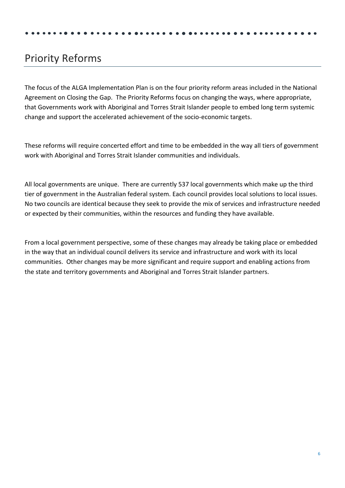# <span id="page-7-0"></span>Priority Reforms

The focus of the ALGA Implementation Plan is on the four priority reform areas included in the National Agreement on Closing the Gap. The Priority Reforms focus on changing the ways, where appropriate, that Governments work with Aboriginal and Torres Strait Islander people to embed long term systemic change and support the accelerated achievement of the socio-economic targets.

These reforms will require concerted effort and time to be embedded in the way all tiers of government work with Aboriginal and Torres Strait Islander communities and individuals.

All local governments are unique. There are currently 537 local governments which make up the third tier of government in the Australian federal system. Each council provides local solutions to local issues. No two councils are identical because they seek to provide the mix of services and infrastructure needed or expected by their communities, within the resources and funding they have available.

From a local government perspective, some of these changes may already be taking place or embedded in the way that an individual council delivers its service and infrastructure and work with its local communities. Other changes may be more significant and require support and enabling actions from the state and territory governments and Aboriginal and Torres Strait Islander partners.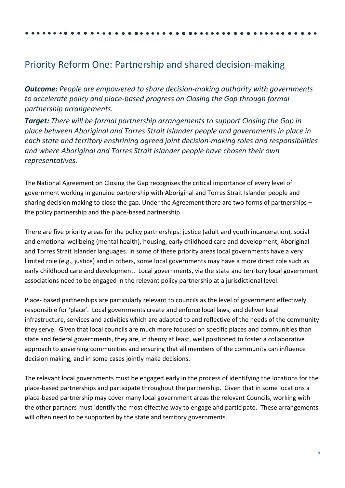# <span id="page-8-0"></span>Priority Reform One: Partnership and shared decision-making

*Outcome: People are empowered to share decision-making authority with governments to accelerate policy and place-based progress on Closing the Gap through formal partnership arrangements.*

*Target: There will be formal partnership arrangements to support Closing the Gap in place between Aboriginal and Torres Strait Islander people and governments in place in each state and territory enshrining agreed joint decision-making roles and responsibilities and where Aboriginal and Torres Strait Islander people have chosen their own representatives.*

The National Agreement on Closing the Gap recognises the critical importance of every level of government working in genuine partnership with Aboriginal and Torres Strait Islander people and sharing decision making to close the gap. Under the Agreement there are two forms of partnerships – the policy partnership and the place-based partnership.

There are five priority areas for the policy partnerships: justice (adult and youth incarceration), social and emotional wellbeing (mental health), housing, early childhood care and development, Aboriginal and Torres Strait Islander languages. In some of these priority areas local governments have a very limited role (e.g., justice) and in others, some local governments may have a more direct role such as early childhood care and development. Local governments, via the state and territory local government associations need to be engaged in the relevant policy partnership at a jurisdictional level.

Place- based partnerships are particularly relevant to councils as the level of government effectively responsible for 'place'. Local governments create and enforce local laws, and deliver local infrastructure, services and activities which are adapted to and reflective of the needs of the community they serve. Given that local councils are much more focused on specific places and communities than state and federal governments, they are, in theory at least, well positioned to foster a collaborative approach to governing communities and ensuring that all members of the community can influence decision making, and in some cases jointly make decisions.

The relevant local governments must be engaged early in the process of identifying the locations for the place-based partnerships and participate throughout the partnership. Given that in some locations a place-based partnership may cover many local government areas the relevant Councils, working with the other partners must identify the most effective way to engage and participate. These arrangements will often need to be supported by the state and territory governments.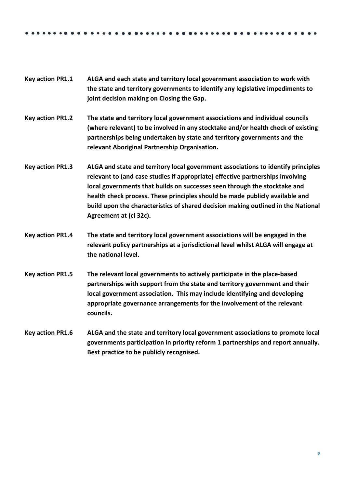- **Key action PR1.1 ALGA and each state and territory local government association to work with the state and territory governments to identify any legislative impediments to joint decision making on Closing the Gap.**
- **Key action PR1.2 The state and territory local government associations and individual councils (where relevant) to be involved in any stocktake and/or health check of existing partnerships being undertaken by state and territory governments and the relevant Aboriginal Partnership Organisation.**
- **Key action PR1.3 ALGA and state and territory local government associations to identify principles relevant to (and case studies if appropriate) effective partnerships involving local governments that builds on successes seen through the stocktake and health check process. These principles should be made publicly available and build upon the characteristics of shared decision making outlined in the National Agreement at (cl 32c).**
- **Key action PR1.4 The state and territory local government associations will be engaged in the relevant policy partnerships at a jurisdictional level whilst ALGA will engage at the national level.**
- **Key action PR1.5 The relevant local governments to actively participate in the place-based partnerships with support from the state and territory government and their local government association. This may include identifying and developing appropriate governance arrangements for the involvement of the relevant councils.**
- **Key action PR1.6 ALGA and the state and territory local government associations to promote local governments participation in priority reform 1 partnerships and report annually. Best practice to be publicly recognised.**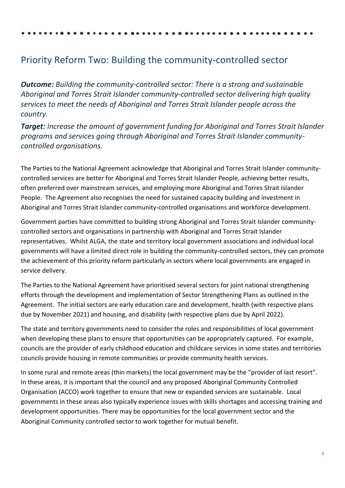## <span id="page-10-0"></span>Priority Reform Two: Building the community-controlled sector

*Outcome: Building the community-controlled sector: There is a strong and sustainable Aboriginal and Torres Strait Islander community-controlled sector delivering high quality services to meet the needs of Aboriginal and Torres Strait Islander people across the country.*

*Target: Increase the amount of government funding for Aboriginal and Torres Strait Islander programs and services going through Aboriginal and Torres Strait Islander communitycontrolled organisations.*

The Parties to the National Agreement acknowledge that Aboriginal and Torres Strait Islander communitycontrolled services are better for Aboriginal and Torres Strait Islander People, achieving better results, often preferred over mainstream services, and employing more Aboriginal and Torres Strait Islander People. The Agreement also recognises the need for sustained capacity building and investment in Aboriginal and Torres Strait Islander community-controlled organisations and workforce development.

Government parties have committed to building strong Aboriginal and Torres Strait Islander communitycontrolled sectors and organisations in partnership with Aboriginal and Torres Strait Islander representatives. Whilst ALGA, the state and territory local government associations and individual local governments will have a limited direct role in building the community-controlled sectors, they can promote the achievement of this priority reform particularly in sectors where local governments are engaged in service delivery.

The Parties to the National Agreement have prioritised several sectors for joint national strengthening efforts through the development and implementation of Sector Strengthening Plans as outlined in the Agreement. The initial sectors are early education care and development, health (with respective plans due by November 2021) and housing, and disability (with respective plans due by April 2022).

The state and territory governments need to consider the roles and responsibilities of local government when developing these plans to ensure that opportunities can be appropriately captured. For example, councils are the provider of early childhood education and childcare services in some states and territories councils provide housing in remote communities or provide community health services.

In some rural and remote areas (thin markets) the local government may be the "provider of last resort". In these areas, it is important that the council and any proposed Aboriginal Community Controlled Organisation (ACCO) work together to ensure that new or expanded services are sustainable. Local governments in these areas also typically experience issues with skills shortages and accessing training and development opportunities. There may be opportunities for the local government sector and the Aboriginal Community controlled sector to work together for mutual benefit.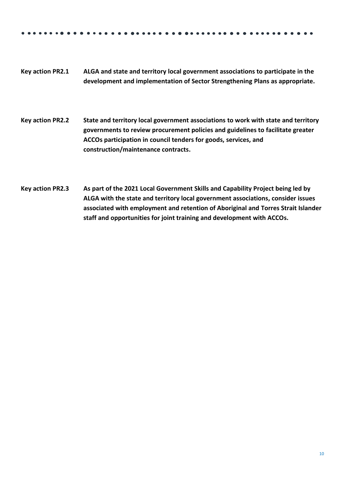- **Key action PR2.1 ALGA and state and territory local government associations to participate in the development and implementation of Sector Strengthening Plans as appropriate.**
- **Key action PR2.2 State and territory local government associations to work with state and territory governments to review procurement policies and guidelines to facilitate greater ACCOs participation in council tenders for goods, services, and construction/maintenance contracts.**
- **Key action PR2.3 As part of the 2021 Local Government Skills and Capability Project being led by ALGA with the state and territory local government associations, consider issues associated with employment and retention of Aboriginal and Torres Strait Islander staff and opportunities for joint training and development with ACCOs.**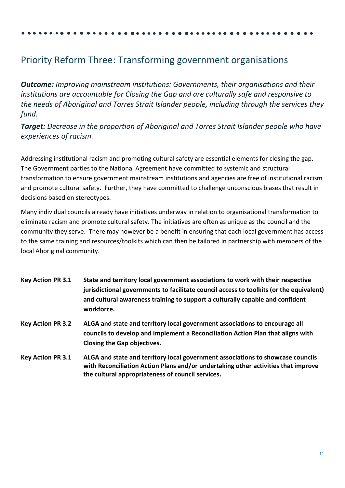# <span id="page-12-0"></span>Priority Reform Three: Transforming government organisations

*Outcome: Improving mainstream institutions: Governments, their organisations and their institutions are accountable for Closing the Gap and are culturally safe and responsive to the needs of Aboriginal and Torres Strait Islander people, including through the services they fund.*

*Target: Decrease in the proportion of Aboriginal and Torres Strait Islander people who have experiences of racism.*

Addressing institutional racism and promoting cultural safety are essential elements for closing the gap. The Government parties to the National Agreement have committed to systemic and structural transformation to ensure government mainstream institutions and agencies are free of institutional racism and promote cultural safety. Further, they have committed to challenge unconscious biases that result in decisions based on stereotypes.

Many individual councils already have initiatives underway in relation to organisational transformation to eliminate racism and promote cultural safety. The initiatives are often as unique as the council and the community they serve. There may however be a benefit in ensuring that each local government has access to the same training and resources/toolkits which can then be tailored in partnership with members of the local Aboriginal community.

- **Key Action PR 3.1 State and territory local government associations to work with their respective jurisdictional governments to facilitate council access to toolkits (or the equivalent) and cultural awareness training to support a culturally capable and confident workforce.**
- **Key Action PR 3.2 ALGA and state and territory local government associations to encourage all councils to develop and implement a Reconciliation Action Plan that aligns with Closing the Gap objectives.**
- **Key Action PR 3.1 ALGA and state and territory local government associations to showcase councils with Reconciliation Action Plans and/or undertaking other activities that improve the cultural appropriateness of council services.**